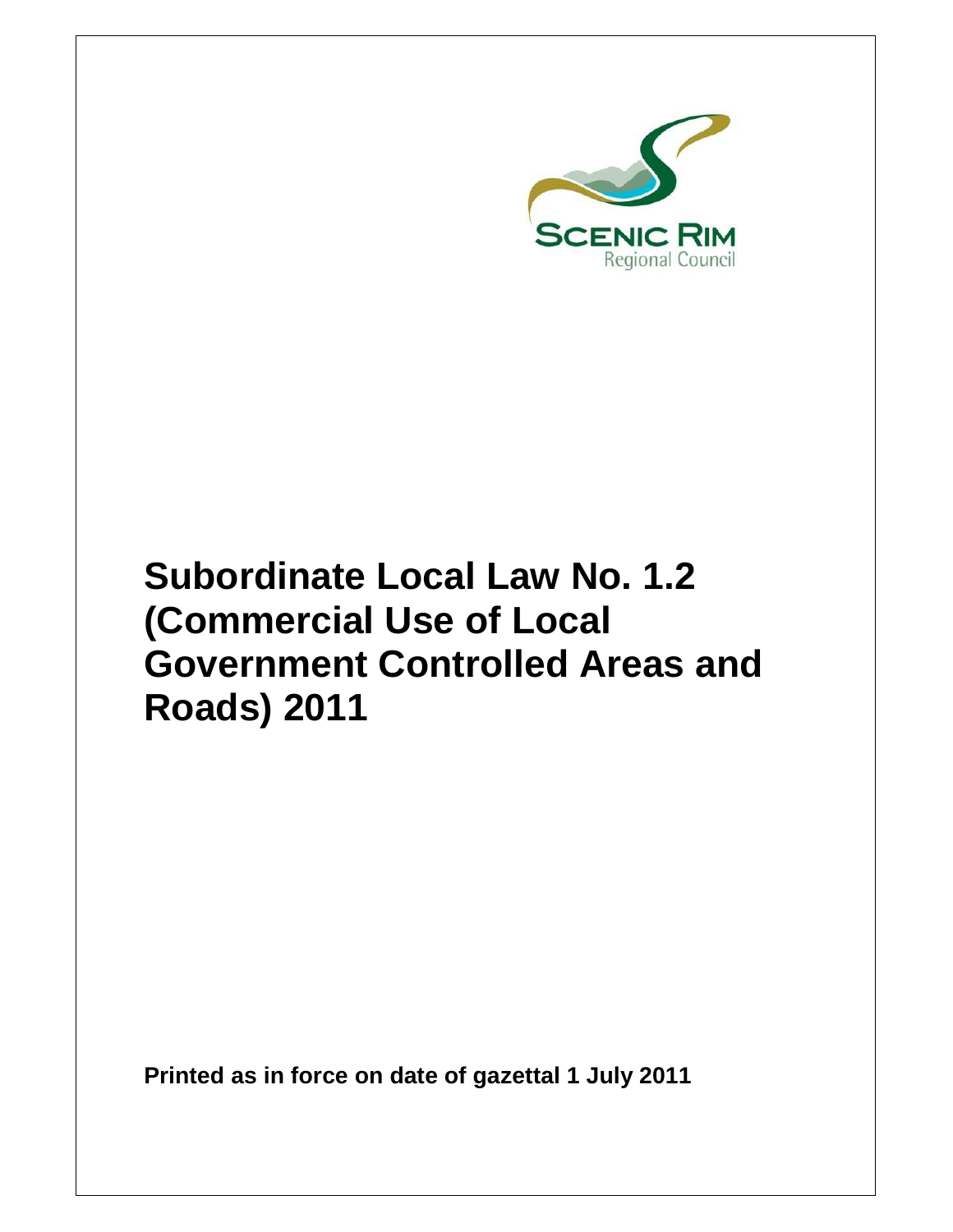

# **Subordinate Local Law No. 1.2 (Commercial Use of Local Government Controlled Areas and Roads) 2011**

**Printed as in force on date of gazettal 1 July 2011**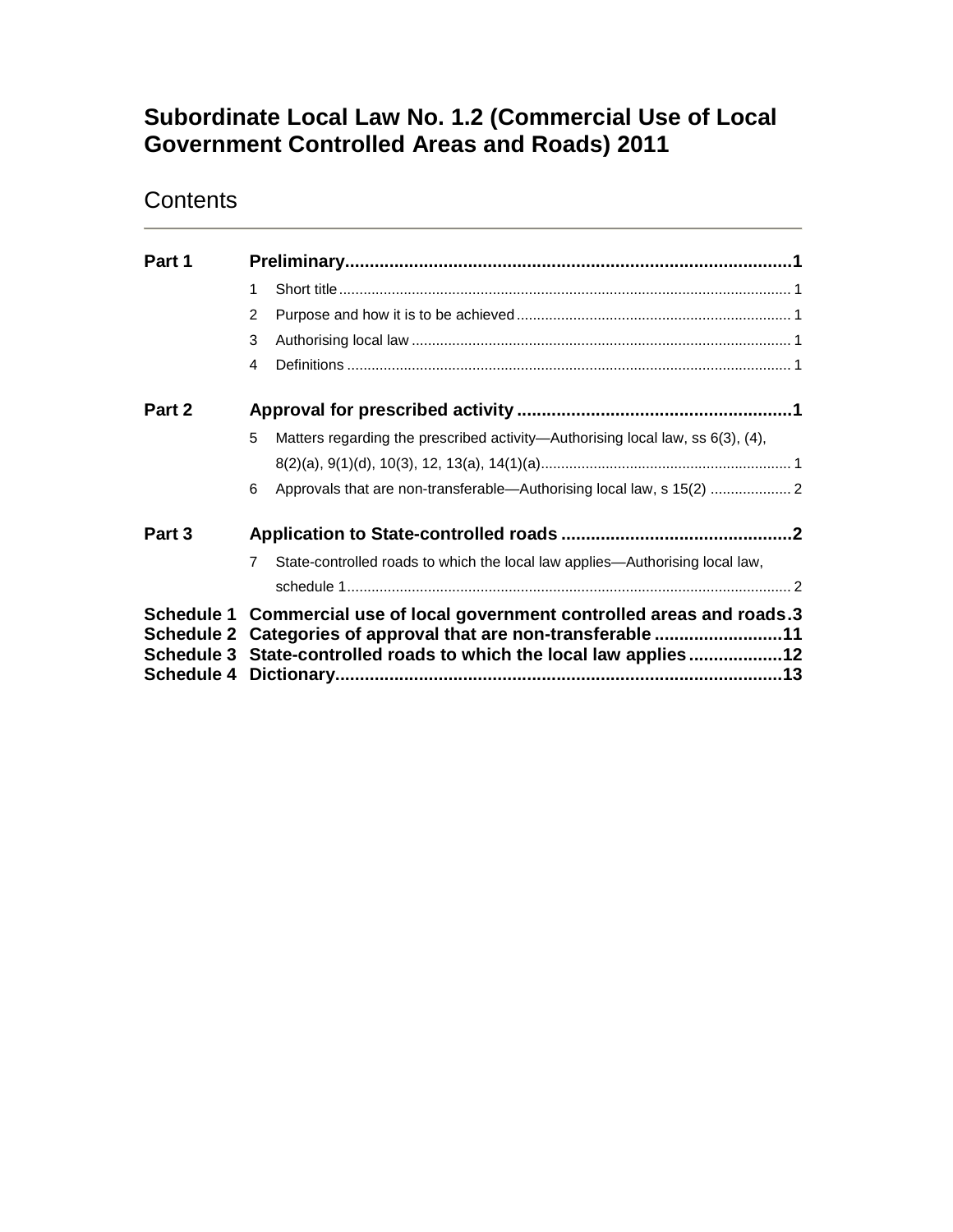# **Subordinate Local Law No. 1.2 (Commercial Use of Local Government Controlled Areas and Roads) 2011**

# **Contents**

| Part 1 |                                                                                                                                                                                                                    |                                                                                |  |  |
|--------|--------------------------------------------------------------------------------------------------------------------------------------------------------------------------------------------------------------------|--------------------------------------------------------------------------------|--|--|
|        | 1                                                                                                                                                                                                                  |                                                                                |  |  |
|        | 2                                                                                                                                                                                                                  |                                                                                |  |  |
|        | 3                                                                                                                                                                                                                  |                                                                                |  |  |
|        | 4                                                                                                                                                                                                                  |                                                                                |  |  |
| Part 2 |                                                                                                                                                                                                                    |                                                                                |  |  |
|        | 5                                                                                                                                                                                                                  | Matters regarding the prescribed activity—Authorising local law, ss 6(3), (4), |  |  |
|        | 6                                                                                                                                                                                                                  |                                                                                |  |  |
| Part 3 |                                                                                                                                                                                                                    |                                                                                |  |  |
|        | $\overline{7}$                                                                                                                                                                                                     | State-controlled roads to which the local law applies—Authorising local law,   |  |  |
|        |                                                                                                                                                                                                                    |                                                                                |  |  |
|        | Schedule 1 Commercial use of local government controlled areas and roads.3<br>Schedule 2 Categories of approval that are non-transferable 11<br>Schedule 3 State-controlled roads to which the local law applies12 |                                                                                |  |  |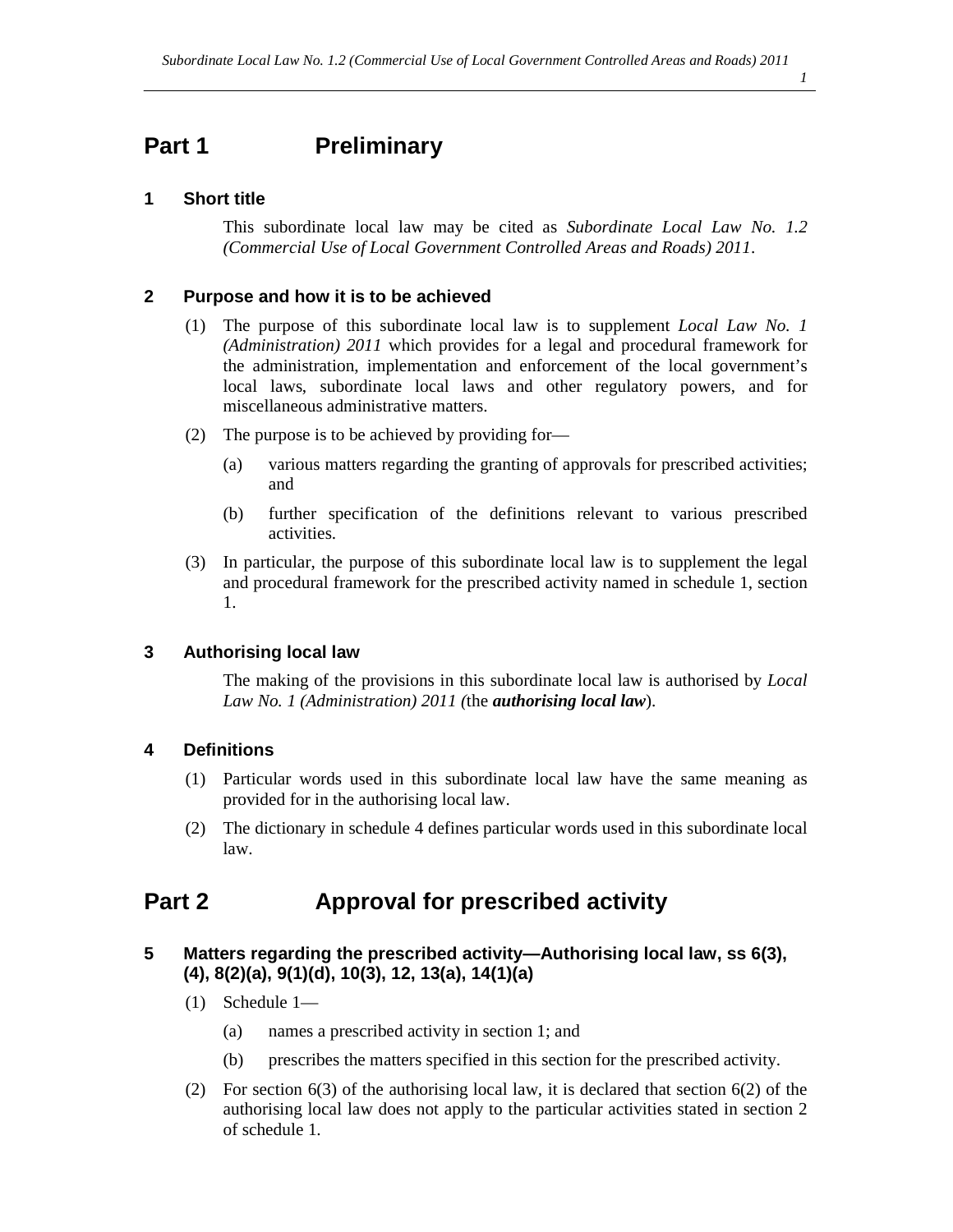#### *1*

# **Part 1** Preliminary

### **1 Short title**

This subordinate local law may be cited as *Subordinate Local Law No. 1.2 (Commercial Use of Local Government Controlled Areas and Roads) 2011*.

### **2 Purpose and how it is to be achieved**

- (1) The purpose of this subordinate local law is to supplement *Local Law No. 1 (Administration) 2011* which provides for a legal and procedural framework for the administration, implementation and enforcement of the local government's local laws, subordinate local laws and other regulatory powers, and for miscellaneous administrative matters.
- (2) The purpose is to be achieved by providing for—
	- (a) various matters regarding the granting of approvals for prescribed activities; and
	- (b) further specification of the definitions relevant to various prescribed activities.
- (3) In particular, the purpose of this subordinate local law is to supplement the legal and procedural framework for the prescribed activity named in schedule 1, section 1.

### **3 Authorising local law**

The making of the provisions in this subordinate local law is authorised by *Local Law No. 1 (Administration) 2011 (*the *authorising local law*).

### **4 Definitions**

- (1) Particular words used in this subordinate local law have the same meaning as provided for in the authorising local law.
- (2) The dictionary in schedule 4 defines particular words used in this subordinate local law.

# **Part 2 Approval for prescribed activity**

### **5 Matters regarding the prescribed activity—Authorising local law, ss 6(3), (4), 8(2)(a), 9(1)(d), 10(3), 12, 13(a), 14(1)(a)**

- (1) Schedule 1—
	- (a) names a prescribed activity in section 1; and
	- (b) prescribes the matters specified in this section for the prescribed activity.
- (2) For section 6(3) of the authorising local law, it is declared that section 6(2) of the authorising local law does not apply to the particular activities stated in section 2 of schedule 1.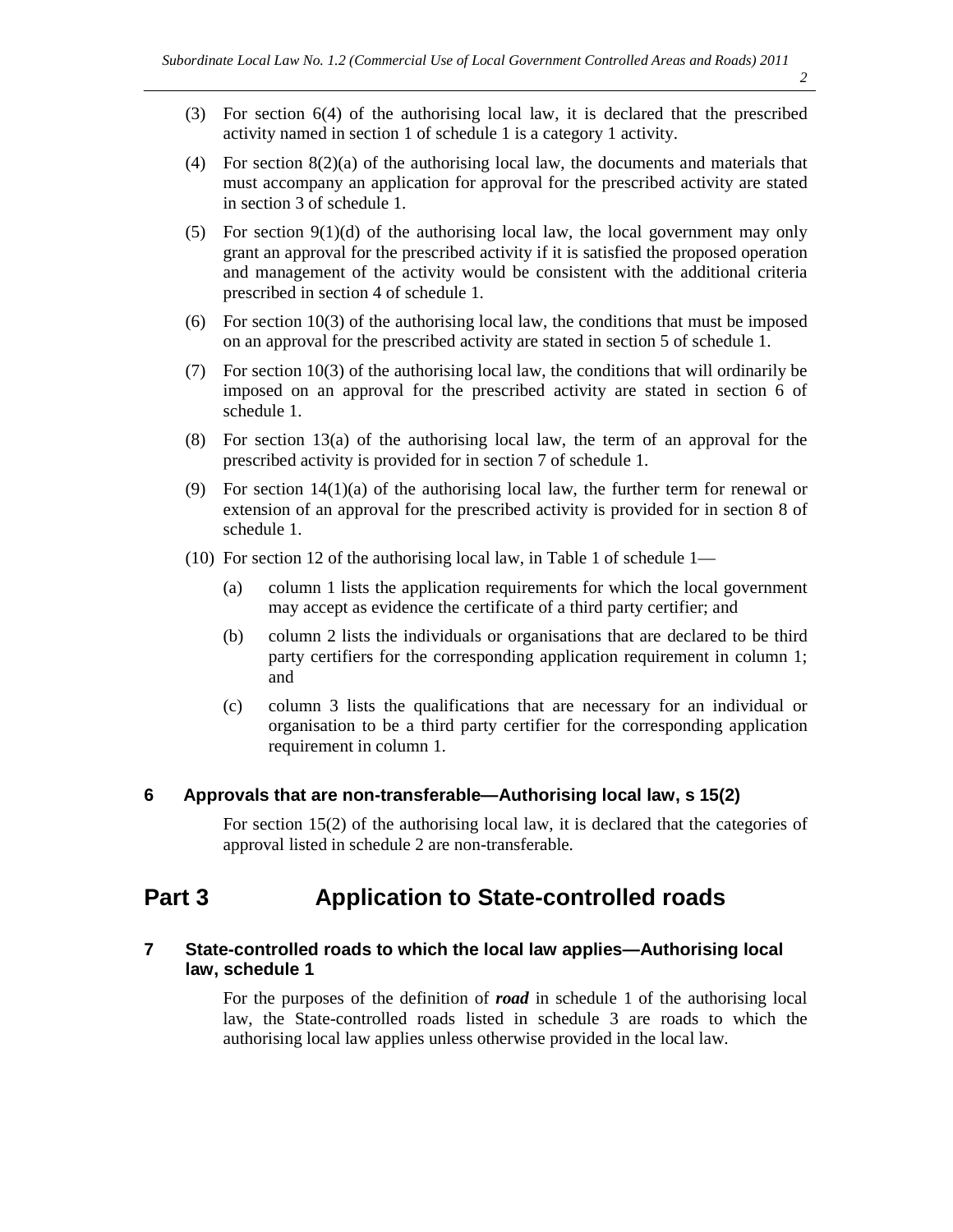- (3) For section 6(4) of the authorising local law, it is declared that the prescribed activity named in section 1 of schedule 1 is a category 1 activity.
- (4) For section  $8(2)(a)$  of the authorising local law, the documents and materials that must accompany an application for approval for the prescribed activity are stated in section 3 of schedule 1.
- (5) For section  $9(1)(d)$  of the authorising local law, the local government may only grant an approval for the prescribed activity if it is satisfied the proposed operation and management of the activity would be consistent with the additional criteria prescribed in section 4 of schedule 1.
- (6) For section  $10(3)$  of the authorising local law, the conditions that must be imposed on an approval for the prescribed activity are stated in section 5 of schedule 1.
- (7) For section 10(3) of the authorising local law, the conditions that will ordinarily be imposed on an approval for the prescribed activity are stated in section 6 of schedule 1.
- (8) For section 13(a) of the authorising local law, the term of an approval for the prescribed activity is provided for in section 7 of schedule 1.
- (9) For section  $14(1)(a)$  of the authorising local law, the further term for renewal or extension of an approval for the prescribed activity is provided for in section 8 of schedule 1.
- (10) For section 12 of the authorising local law, in Table 1 of schedule 1—
	- (a) column 1 lists the application requirements for which the local government may accept as evidence the certificate of a third party certifier; and
	- (b) column 2 lists the individuals or organisations that are declared to be third party certifiers for the corresponding application requirement in column 1; and
	- (c) column 3 lists the qualifications that are necessary for an individual or organisation to be a third party certifier for the corresponding application requirement in column 1.

### **6 Approvals that are non-transferable—Authorising local law, s 15(2)**

For section 15(2) of the authorising local law, it is declared that the categories of approval listed in schedule 2 are non-transferable.

### **Part 3 Application to State-controlled roads**

### **7 State-controlled roads to which the local law applies—Authorising local law, schedule 1**

For the purposes of the definition of *road* in schedule 1 of the authorising local law, the State-controlled roads listed in schedule 3 are roads to which the authorising local law applies unless otherwise provided in the local law.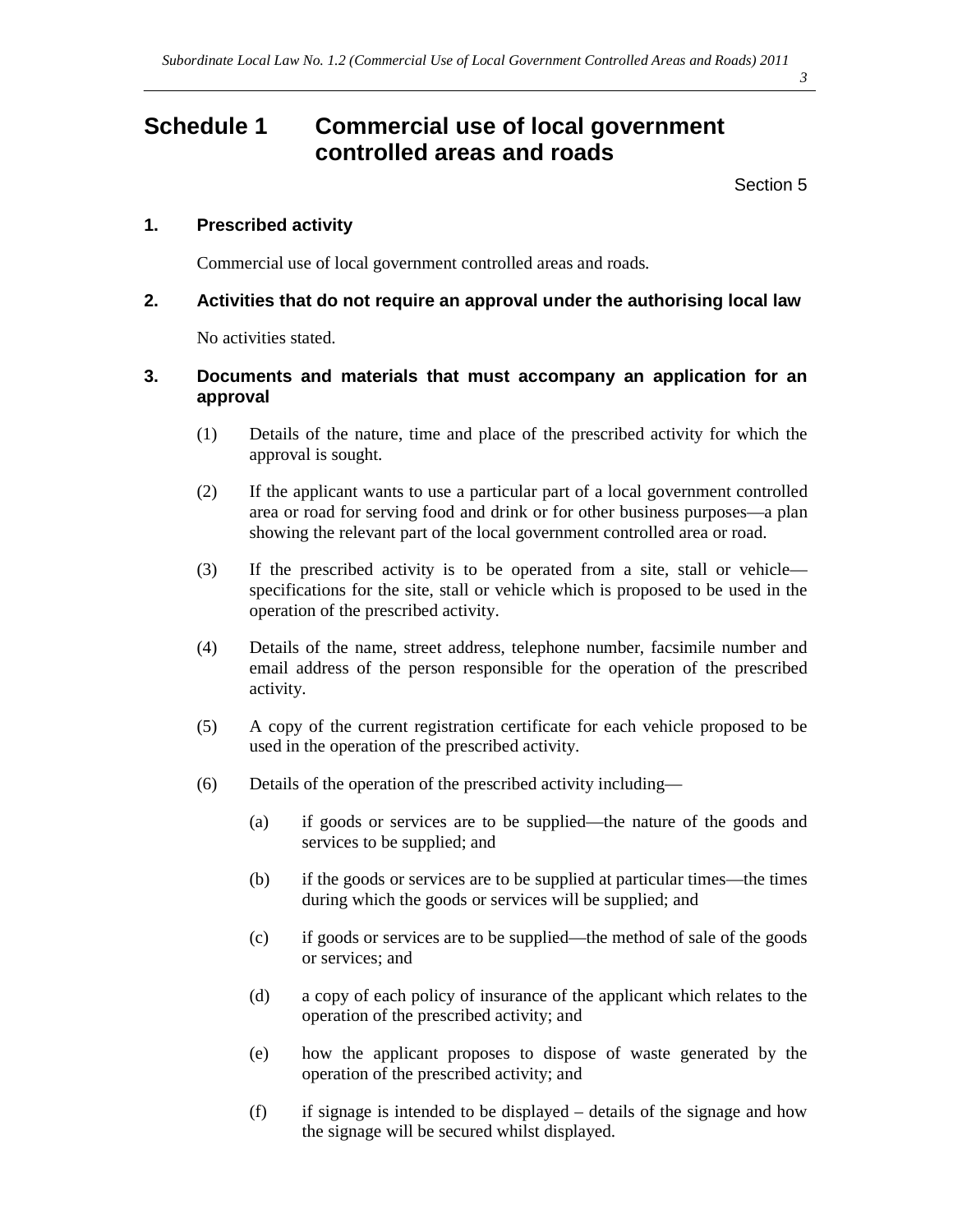# **Schedule 1 Commercial use of local government controlled areas and roads**

Section 5

### **1. Prescribed activity**

Commercial use of local government controlled areas and roads.

#### **2. Activities that do not require an approval under the authorising local law**

No activities stated.

### **3. Documents and materials that must accompany an application for an approval**

- (1) Details of the nature, time and place of the prescribed activity for which the approval is sought.
- (2) If the applicant wants to use a particular part of a local government controlled area or road for serving food and drink or for other business purposes—a plan showing the relevant part of the local government controlled area or road.
- (3) If the prescribed activity is to be operated from a site, stall or vehicle specifications for the site, stall or vehicle which is proposed to be used in the operation of the prescribed activity.
- (4) Details of the name, street address, telephone number, facsimile number and email address of the person responsible for the operation of the prescribed activity.
- (5) A copy of the current registration certificate for each vehicle proposed to be used in the operation of the prescribed activity.
- (6) Details of the operation of the prescribed activity including—
	- (a) if goods or services are to be supplied—the nature of the goods and services to be supplied; and
	- (b) if the goods or services are to be supplied at particular times—the times during which the goods or services will be supplied; and
	- (c) if goods or services are to be supplied—the method of sale of the goods or services; and
	- (d) a copy of each policy of insurance of the applicant which relates to the operation of the prescribed activity; and
	- (e) how the applicant proposes to dispose of waste generated by the operation of the prescribed activity; and
	- (f) if signage is intended to be displayed details of the signage and how the signage will be secured whilst displayed.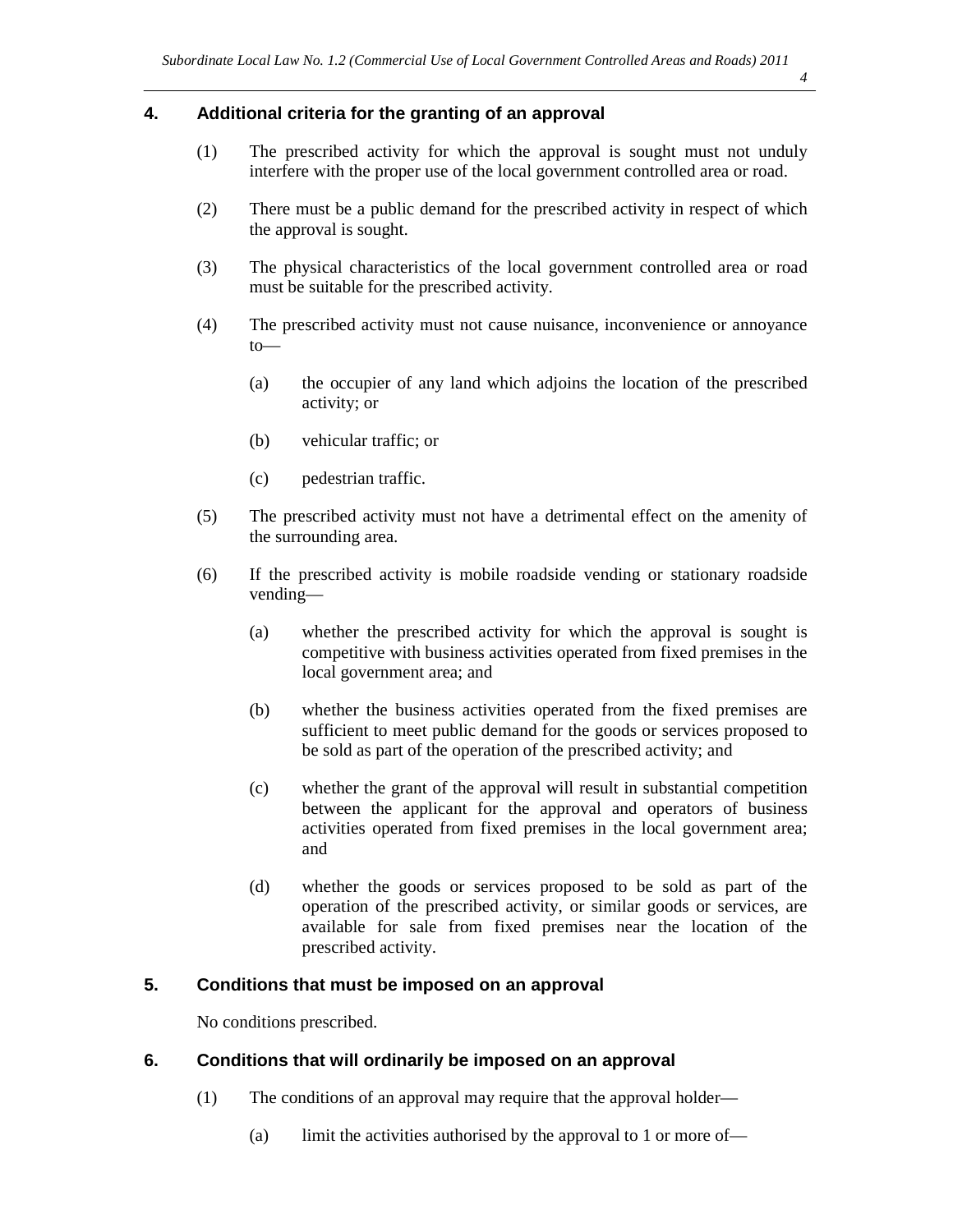#### **4. Additional criteria for the granting of an approval**

- (1) The prescribed activity for which the approval is sought must not unduly interfere with the proper use of the local government controlled area or road.
- (2) There must be a public demand for the prescribed activity in respect of which the approval is sought.
- (3) The physical characteristics of the local government controlled area or road must be suitable for the prescribed activity.
- (4) The prescribed activity must not cause nuisance, inconvenience or annoyance to—
	- (a) the occupier of any land which adjoins the location of the prescribed activity; or
	- (b) vehicular traffic; or
	- (c) pedestrian traffic.
- (5) The prescribed activity must not have a detrimental effect on the amenity of the surrounding area.
- (6) If the prescribed activity is mobile roadside vending or stationary roadside vending—
	- (a) whether the prescribed activity for which the approval is sought is competitive with business activities operated from fixed premises in the local government area; and
	- (b) whether the business activities operated from the fixed premises are sufficient to meet public demand for the goods or services proposed to be sold as part of the operation of the prescribed activity; and
	- (c) whether the grant of the approval will result in substantial competition between the applicant for the approval and operators of business activities operated from fixed premises in the local government area; and
	- (d) whether the goods or services proposed to be sold as part of the operation of the prescribed activity, or similar goods or services, are available for sale from fixed premises near the location of the prescribed activity.

### **5. Conditions that must be imposed on an approval**

No conditions prescribed.

#### **6. Conditions that will ordinarily be imposed on an approval**

- (1) The conditions of an approval may require that the approval holder—
	- (a) limit the activities authorised by the approval to 1 or more of—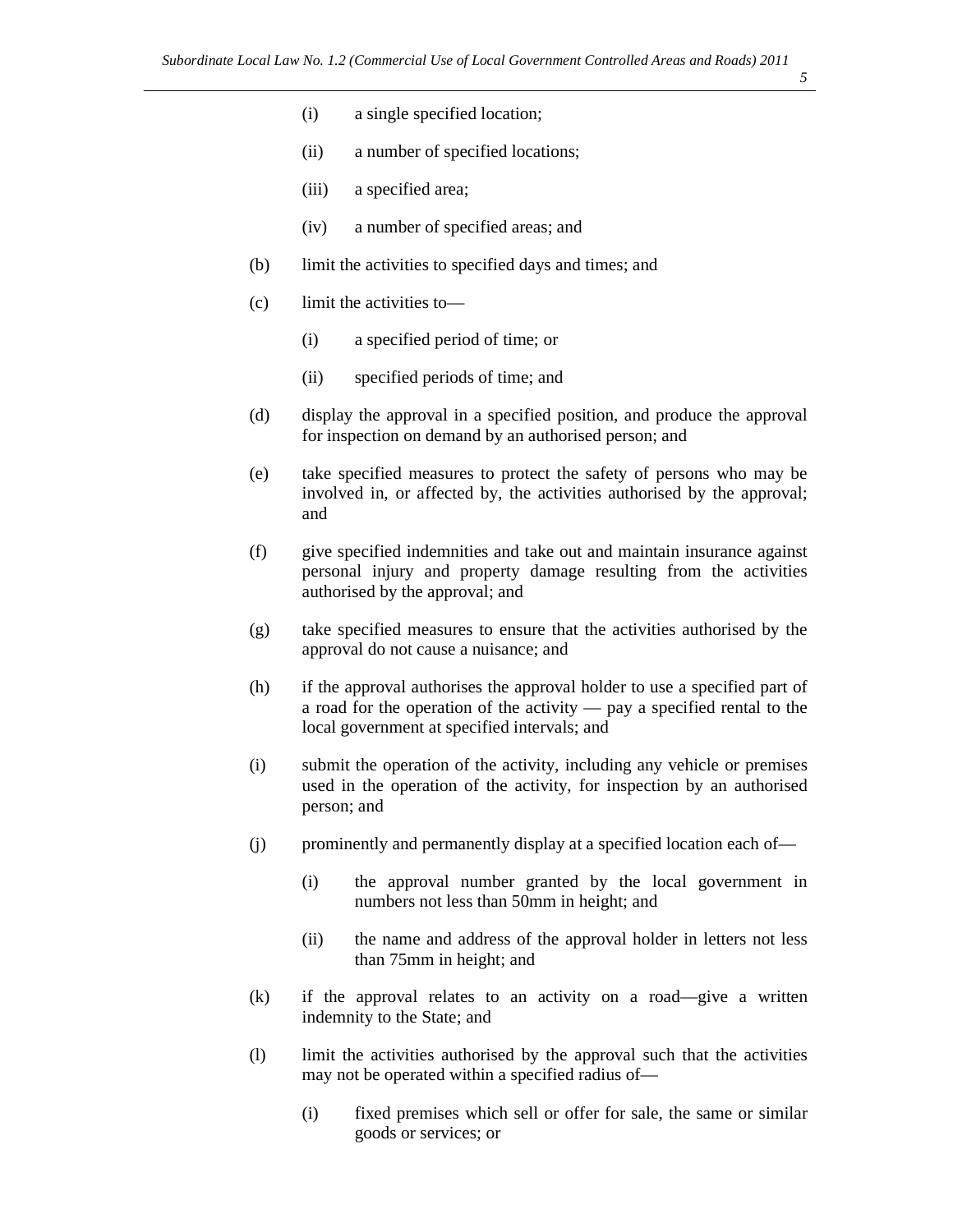- (i) a single specified location;
- (ii) a number of specified locations;
- (iii) a specified area;
- (iv) a number of specified areas; and
- (b) limit the activities to specified days and times; and
- (c) limit the activities to—
	- (i) a specified period of time; or
	- (ii) specified periods of time; and
- (d) display the approval in a specified position, and produce the approval for inspection on demand by an authorised person; and
- (e) take specified measures to protect the safety of persons who may be involved in, or affected by, the activities authorised by the approval; and
- (f) give specified indemnities and take out and maintain insurance against personal injury and property damage resulting from the activities authorised by the approval; and
- (g) take specified measures to ensure that the activities authorised by the approval do not cause a nuisance; and
- (h) if the approval authorises the approval holder to use a specified part of a road for the operation of the activity — pay a specified rental to the local government at specified intervals; and
- (i) submit the operation of the activity, including any vehicle or premises used in the operation of the activity, for inspection by an authorised person; and
- (j) prominently and permanently display at a specified location each of—
	- (i) the approval number granted by the local government in numbers not less than 50mm in height; and
	- (ii) the name and address of the approval holder in letters not less than 75mm in height; and
- (k) if the approval relates to an activity on a road—give a written indemnity to the State; and
- (l) limit the activities authorised by the approval such that the activities may not be operated within a specified radius of—
	- (i) fixed premises which sell or offer for sale, the same or similar goods or services; or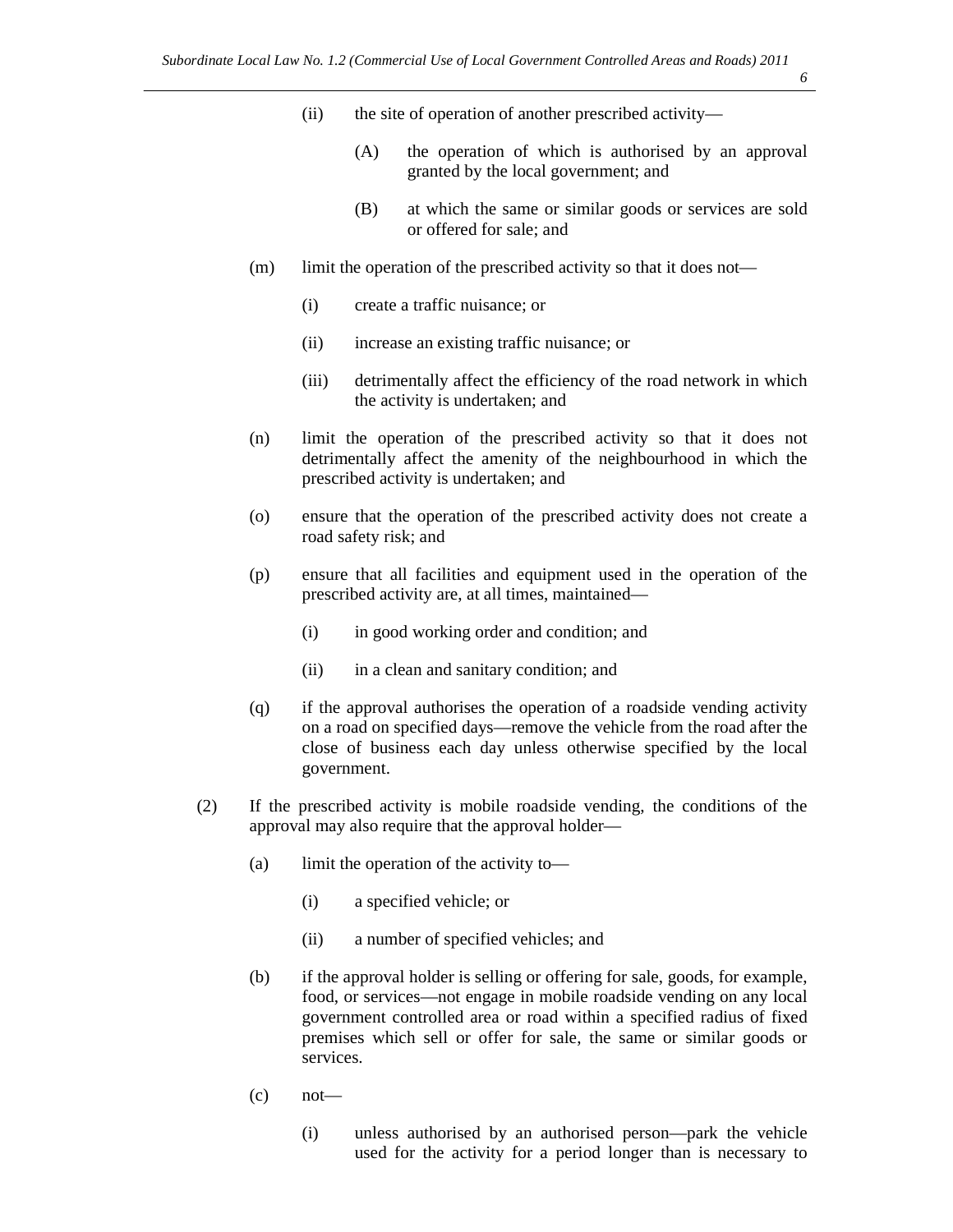- *6*
- (ii) the site of operation of another prescribed activity—
	- (A) the operation of which is authorised by an approval granted by the local government; and
	- (B) at which the same or similar goods or services are sold or offered for sale; and
- (m) limit the operation of the prescribed activity so that it does not—
	- (i) create a traffic nuisance; or
	- (ii) increase an existing traffic nuisance; or
	- (iii) detrimentally affect the efficiency of the road network in which the activity is undertaken; and
- (n) limit the operation of the prescribed activity so that it does not detrimentally affect the amenity of the neighbourhood in which the prescribed activity is undertaken; and
- (o) ensure that the operation of the prescribed activity does not create a road safety risk; and
- (p) ensure that all facilities and equipment used in the operation of the prescribed activity are, at all times, maintained—
	- (i) in good working order and condition; and
	- (ii) in a clean and sanitary condition; and
- (q) if the approval authorises the operation of a roadside vending activity on a road on specified days—remove the vehicle from the road after the close of business each day unless otherwise specified by the local government.
- (2) If the prescribed activity is mobile roadside vending, the conditions of the approval may also require that the approval holder—
	- (a) limit the operation of the activity to—
		- (i) a specified vehicle; or
		- (ii) a number of specified vehicles; and
	- (b) if the approval holder is selling or offering for sale, goods, for example, food, or services—not engage in mobile roadside vending on any local government controlled area or road within a specified radius of fixed premises which sell or offer for sale, the same or similar goods or services.
	- $\cot$  not
		- (i) unless authorised by an authorised person—park the vehicle used for the activity for a period longer than is necessary to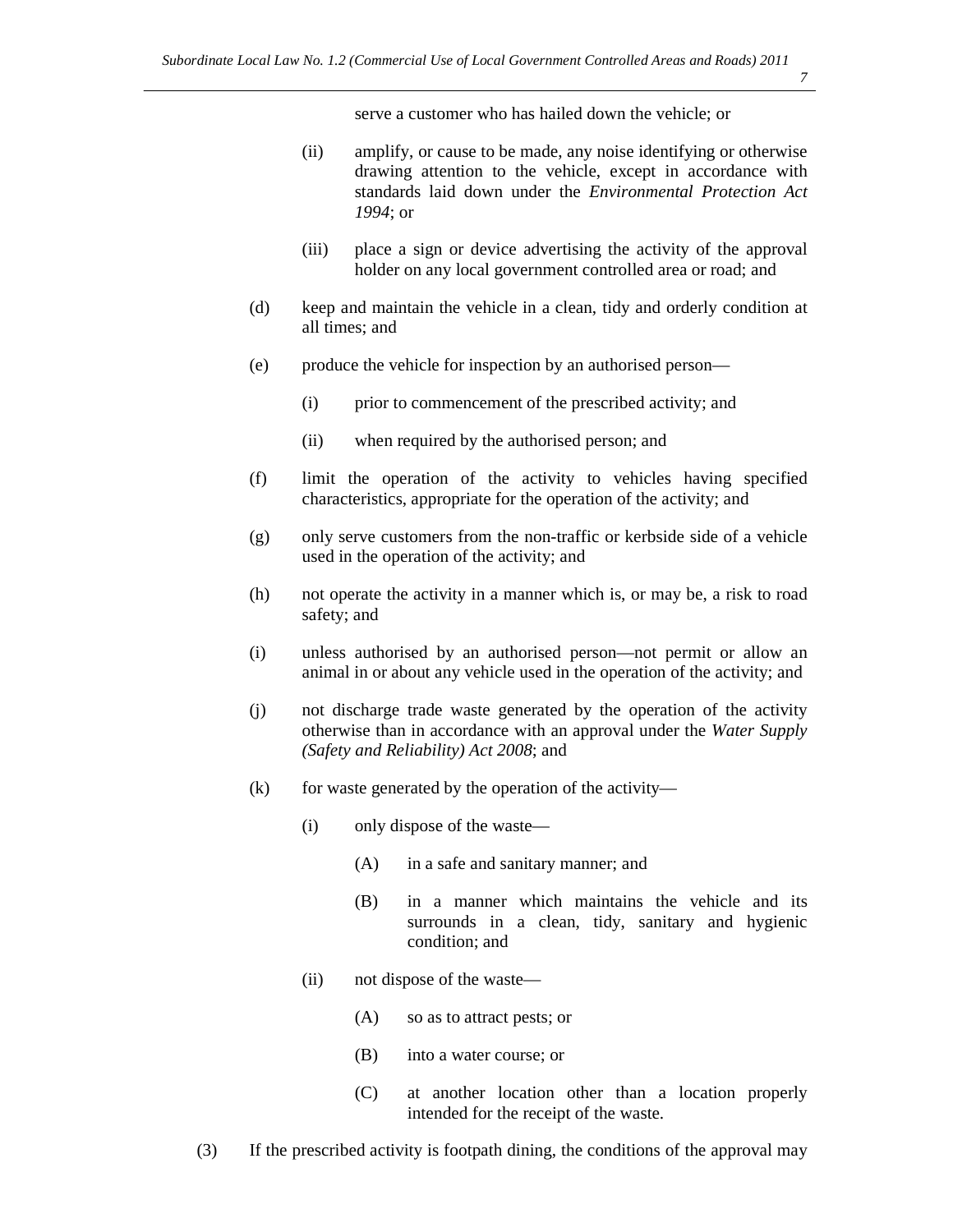serve a customer who has hailed down the vehicle; or

- (ii) amplify, or cause to be made, any noise identifying or otherwise drawing attention to the vehicle, except in accordance with standards laid down under the *Environmental Protection Act 1994*; or
- (iii) place a sign or device advertising the activity of the approval holder on any local government controlled area or road; and
- (d) keep and maintain the vehicle in a clean, tidy and orderly condition at all times; and
- (e) produce the vehicle for inspection by an authorised person—
	- (i) prior to commencement of the prescribed activity; and
	- (ii) when required by the authorised person; and
- (f) limit the operation of the activity to vehicles having specified characteristics, appropriate for the operation of the activity; and
- (g) only serve customers from the non-traffic or kerbside side of a vehicle used in the operation of the activity; and
- (h) not operate the activity in a manner which is, or may be, a risk to road safety; and
- (i) unless authorised by an authorised person—not permit or allow an animal in or about any vehicle used in the operation of the activity; and
- (j) not discharge trade waste generated by the operation of the activity otherwise than in accordance with an approval under the *Water Supply (Safety and Reliability) Act 2008*; and
- $(k)$  for waste generated by the operation of the activity—
	- (i) only dispose of the waste—
		- (A) in a safe and sanitary manner; and
		- (B) in a manner which maintains the vehicle and its surrounds in a clean, tidy, sanitary and hygienic condition; and
	- (ii) not dispose of the waste—
		- (A) so as to attract pests; or
		- (B) into a water course; or
		- (C) at another location other than a location properly intended for the receipt of the waste.
- (3) If the prescribed activity is footpath dining, the conditions of the approval may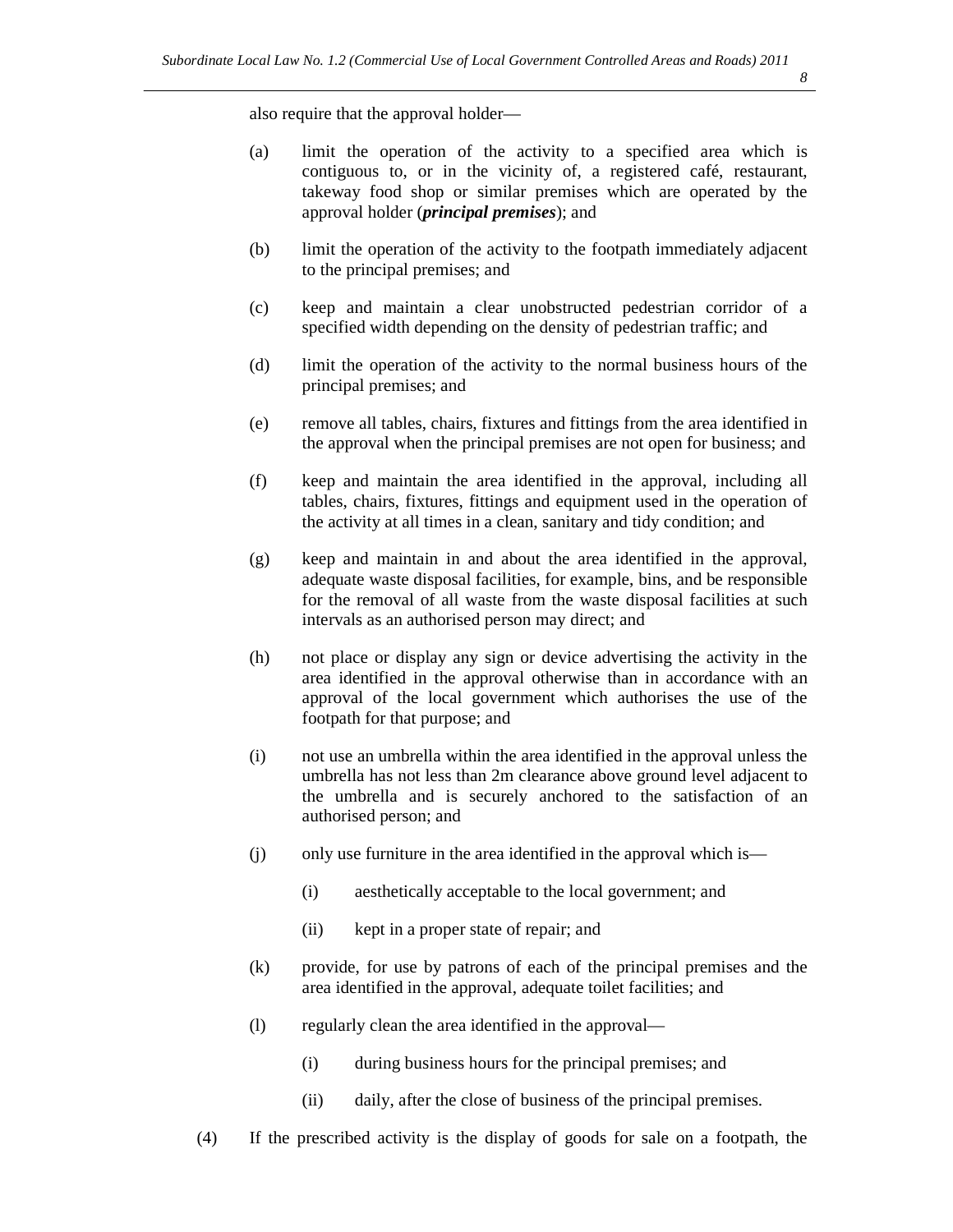also require that the approval holder—

- (a) limit the operation of the activity to a specified area which is contiguous to, or in the vicinity of, a registered café, restaurant, takeway food shop or similar premises which are operated by the approval holder (*principal premises*); and
- (b) limit the operation of the activity to the footpath immediately adjacent to the principal premises; and
- (c) keep and maintain a clear unobstructed pedestrian corridor of a specified width depending on the density of pedestrian traffic; and
- (d) limit the operation of the activity to the normal business hours of the principal premises; and
- (e) remove all tables, chairs, fixtures and fittings from the area identified in the approval when the principal premises are not open for business; and
- (f) keep and maintain the area identified in the approval, including all tables, chairs, fixtures, fittings and equipment used in the operation of the activity at all times in a clean, sanitary and tidy condition; and
- (g) keep and maintain in and about the area identified in the approval, adequate waste disposal facilities, for example, bins, and be responsible for the removal of all waste from the waste disposal facilities at such intervals as an authorised person may direct; and
- (h) not place or display any sign or device advertising the activity in the area identified in the approval otherwise than in accordance with an approval of the local government which authorises the use of the footpath for that purpose; and
- (i) not use an umbrella within the area identified in the approval unless the umbrella has not less than 2m clearance above ground level adjacent to the umbrella and is securely anchored to the satisfaction of an authorised person; and
- (j) only use furniture in the area identified in the approval which is—
	- (i) aesthetically acceptable to the local government; and
	- (ii) kept in a proper state of repair; and
- (k) provide, for use by patrons of each of the principal premises and the area identified in the approval, adequate toilet facilities; and
- (l) regularly clean the area identified in the approval—
	- (i) during business hours for the principal premises; and
	- (ii) daily, after the close of business of the principal premises.
- (4) If the prescribed activity is the display of goods for sale on a footpath, the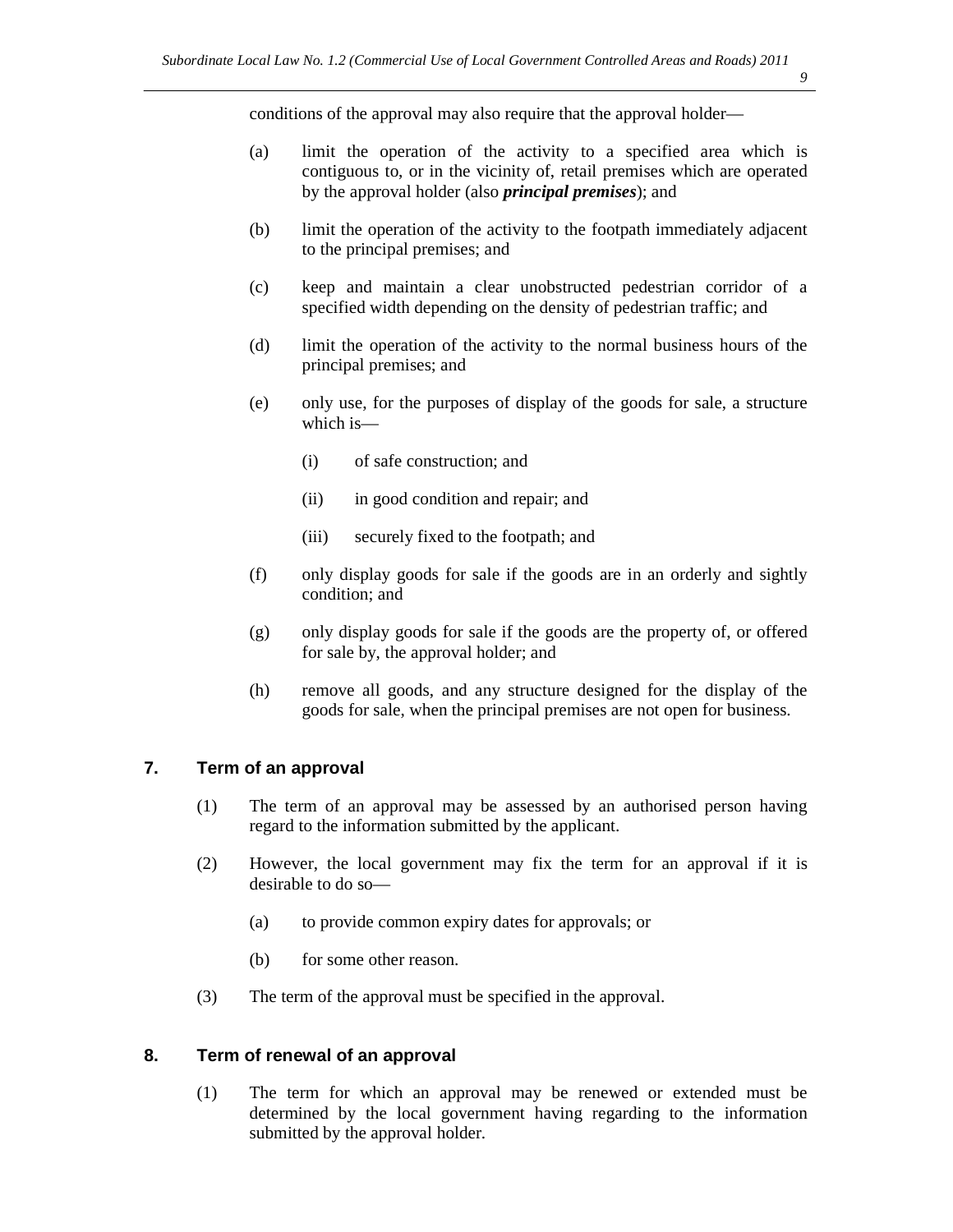conditions of the approval may also require that the approval holder—

- (a) limit the operation of the activity to a specified area which is contiguous to, or in the vicinity of, retail premises which are operated by the approval holder (also *principal premises*); and
- (b) limit the operation of the activity to the footpath immediately adjacent to the principal premises; and
- (c) keep and maintain a clear unobstructed pedestrian corridor of a specified width depending on the density of pedestrian traffic; and
- (d) limit the operation of the activity to the normal business hours of the principal premises; and
- (e) only use, for the purposes of display of the goods for sale, a structure which is—
	- (i) of safe construction; and
	- (ii) in good condition and repair; and
	- (iii) securely fixed to the footpath; and
- (f) only display goods for sale if the goods are in an orderly and sightly condition; and
- (g) only display goods for sale if the goods are the property of, or offered for sale by, the approval holder; and
- (h) remove all goods, and any structure designed for the display of the goods for sale, when the principal premises are not open for business.

#### **7. Term of an approval**

- (1) The term of an approval may be assessed by an authorised person having regard to the information submitted by the applicant.
- (2) However, the local government may fix the term for an approval if it is desirable to do so—
	- (a) to provide common expiry dates for approvals; or
	- (b) for some other reason.
- (3) The term of the approval must be specified in the approval.

#### **8. Term of renewal of an approval**

(1) The term for which an approval may be renewed or extended must be determined by the local government having regarding to the information submitted by the approval holder.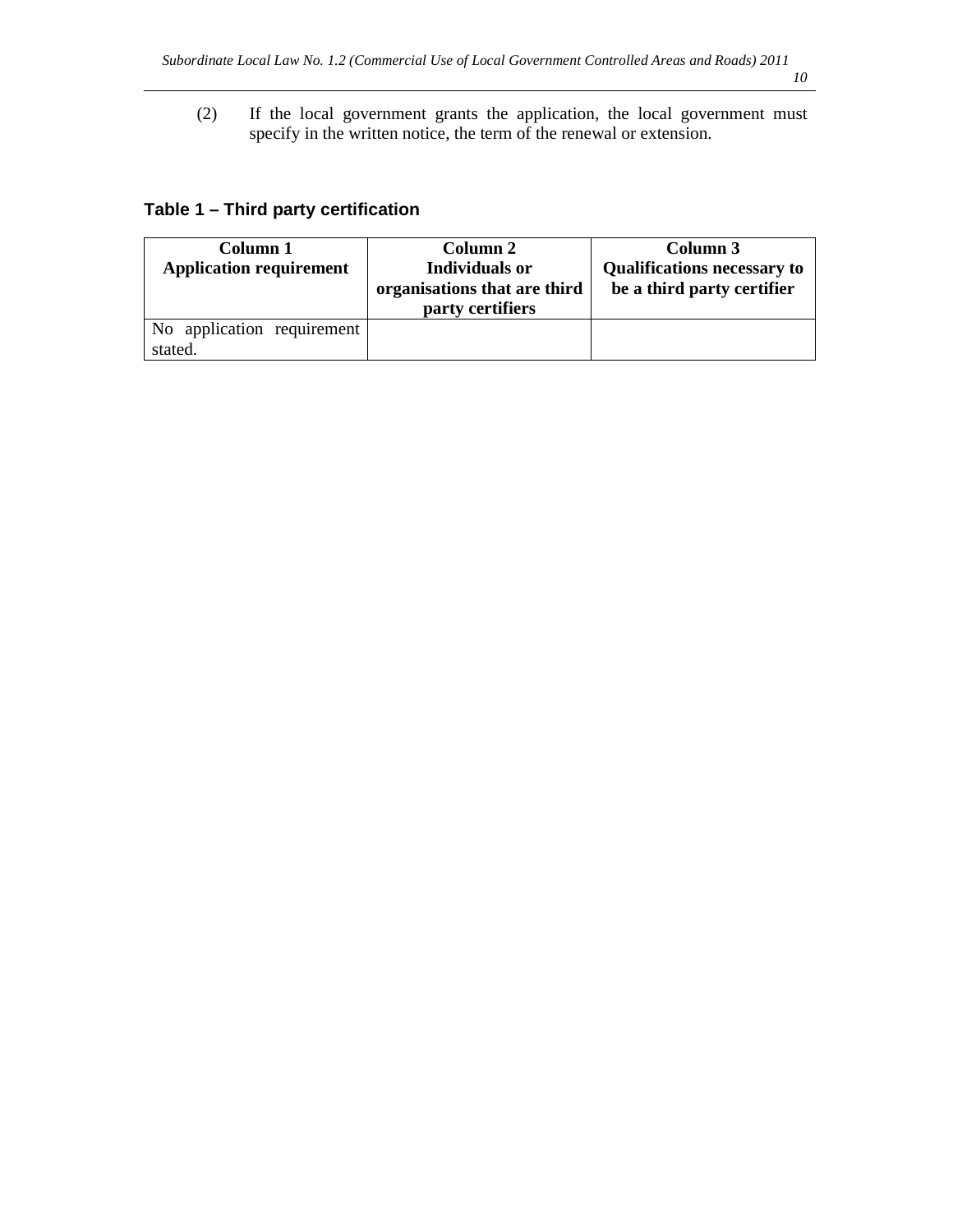(2) If the local government grants the application, the local government must specify in the written notice, the term of the renewal or extension.

### **Table 1 – Third party certification**

| Column 1                       | Column 2                     | Column 3                           |
|--------------------------------|------------------------------|------------------------------------|
| <b>Application requirement</b> | <b>Individuals or</b>        | <b>Qualifications necessary to</b> |
|                                | organisations that are third | be a third party certifier         |
|                                | party certifiers             |                                    |
| No application requirement     |                              |                                    |
| stated.                        |                              |                                    |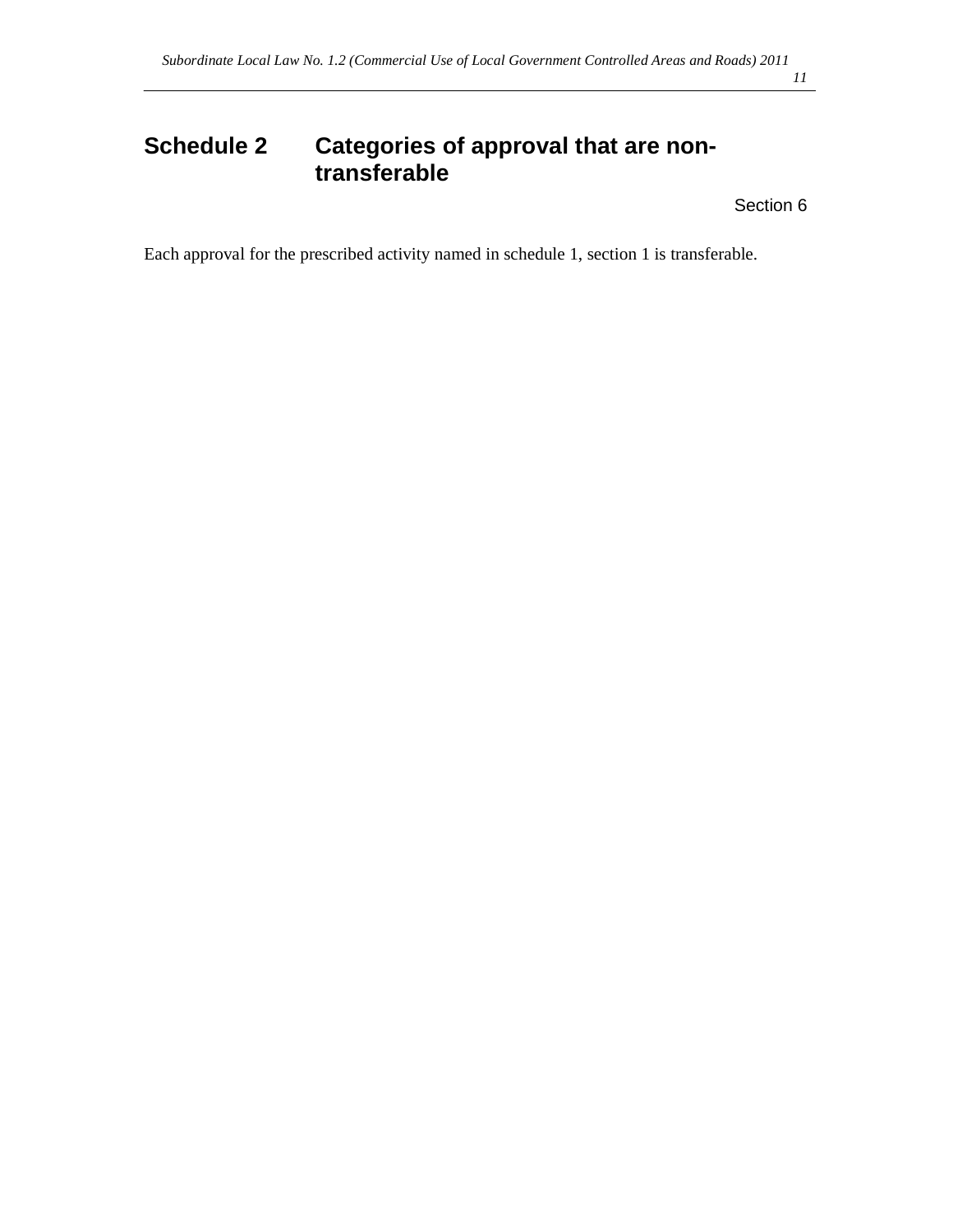# **Schedule 2 Categories of approval that are nontransferable**

Section 6

Each approval for the prescribed activity named in schedule 1, section 1 is transferable.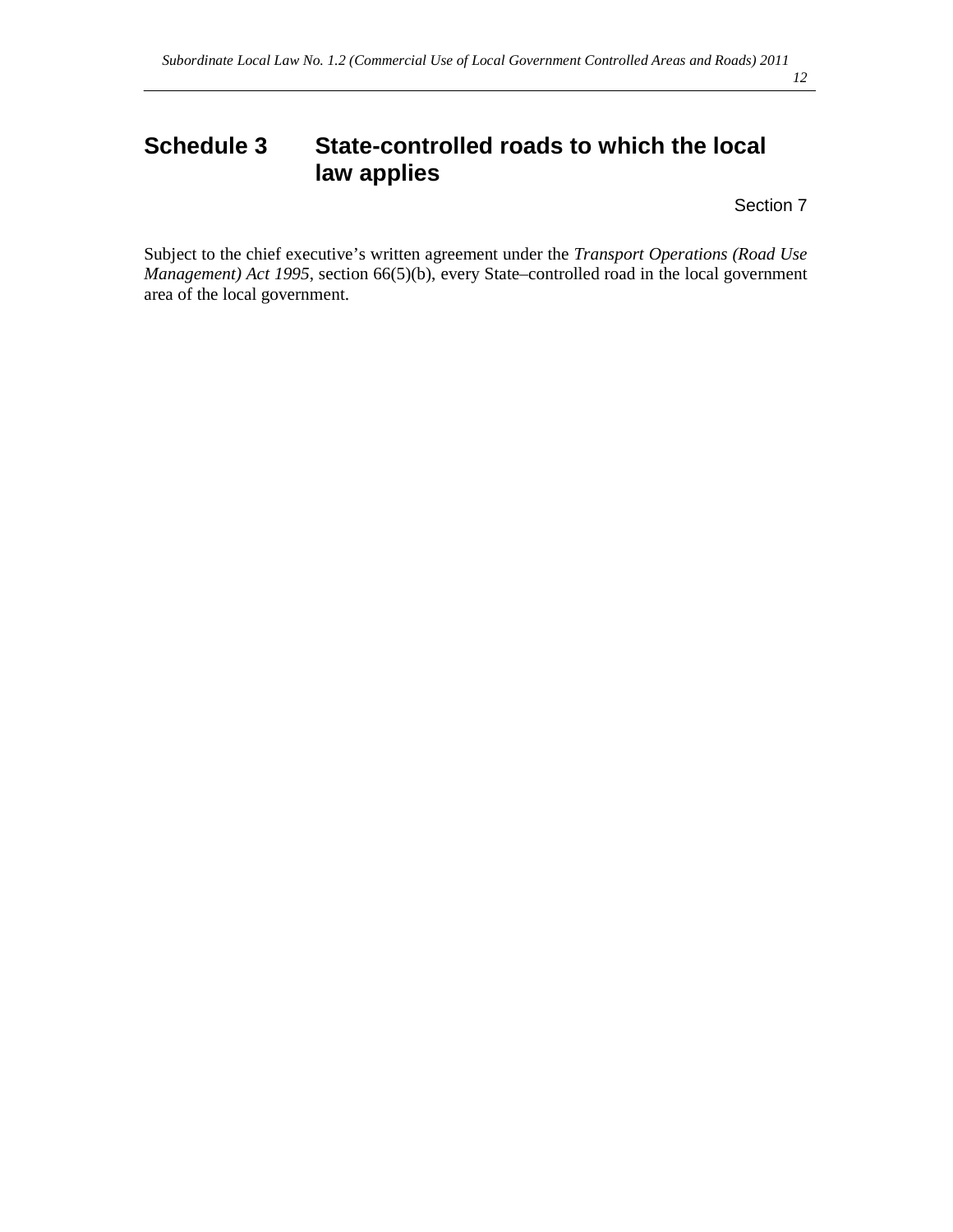# **Schedule 3 State-controlled roads to which the local law applies**

Section 7

Subject to the chief executive's written agreement under the *Transport Operations (Road Use Management) Act 1995*, section 66(5)(b), every State-controlled road in the local government area of the local government.